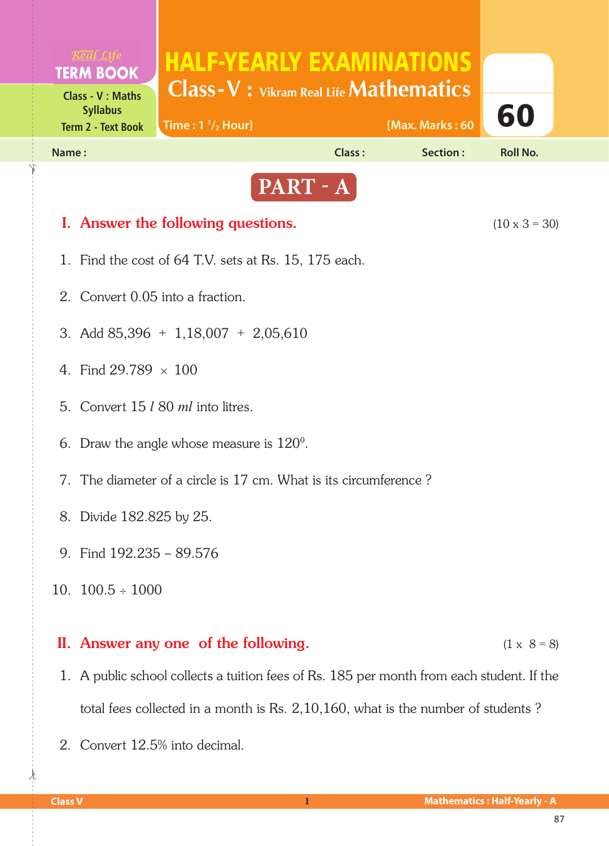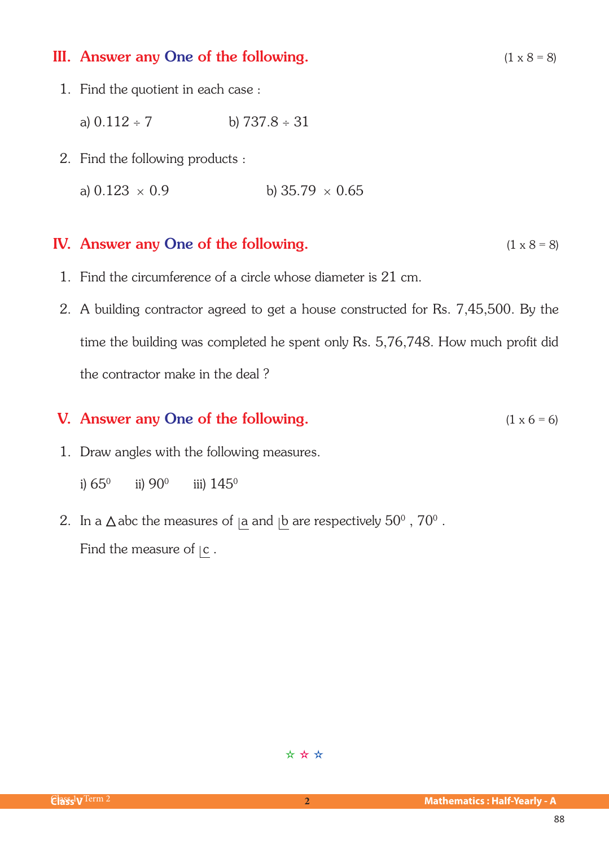## III. Answer any One of the following.  $(1 \times 8 = 8)$

- 1. Find the quotient in each case :
	- a)  $0.112 \div 7$  b)  $737.8 \div 31$
- 2. Find the following products :

a)  $0.123 \times 0.9$  b)  $35.79 \times 0.65$ 

## IV. Answer any One of the following.  $(1 \times 8 = 8)$

- 1. Find the circumference of a circle whose diameter is 21 cm.
- 2. A building contractor agreed to get a house constructed for Rs. 7,45,500. By the time the building was completed he spent only Rs. 5,76,748. How much profit did the contractor make in the deal ?

## **V.** Answer any One of the following.  $(1 \times 6 = 6)$

- 1. Draw angles with the following measures.
	- i)  $65^{\circ}$ ii)  $90^\circ$ iii) 145<sup>0</sup>
- 2. In a  $\Delta$  abc the measures of |a and |b are respectively 50<sup>0</sup>, 70<sup>0</sup>. Find the measure of  $|c \rangle$ .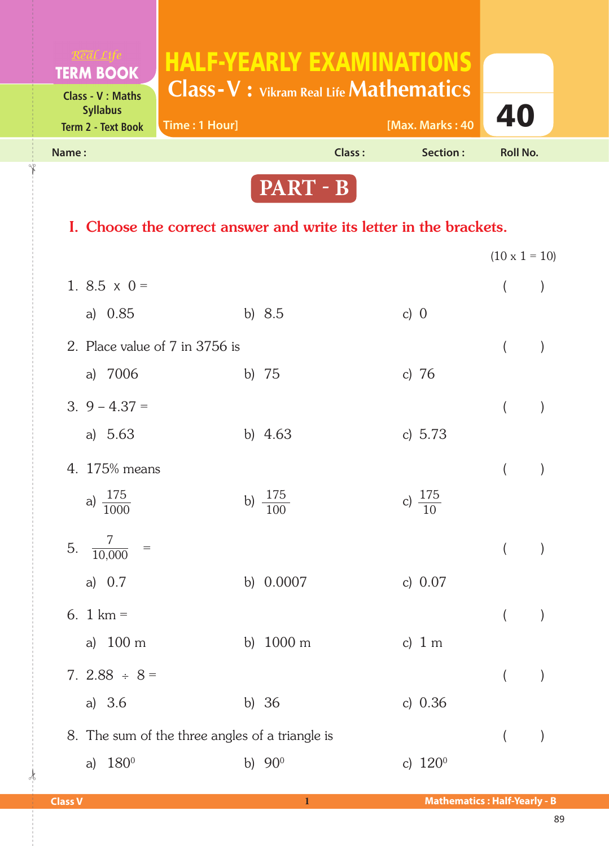| <b>TERM BOOK</b><br>Class - V : Maths<br><b>Syllabus</b> |               | HALF-YEARLY EXAMINATIONS<br><b>Class-V:</b> Vikram Real Life <b>Mathematics</b> |                 |                 |  |
|----------------------------------------------------------|---------------|---------------------------------------------------------------------------------|-----------------|-----------------|--|
| <b>Term 2 - Text Book</b>                                | Time: 1 Hour] |                                                                                 | [Max. Marks: 40 | 40              |  |
| Name:                                                    |               | Class:                                                                          | Section:        | <b>Roll No.</b> |  |
|                                                          |               |                                                                                 |                 |                 |  |

**PART - B**

## I. Choose the correct answer and write its letter in the brackets.

|                                                 |                      |                     | $(10 \times 1 = 10)$     |                  |
|-------------------------------------------------|----------------------|---------------------|--------------------------|------------------|
| 1. 8.5 $\times$ 0 =                             |                      |                     | (                        | $\mathcal{E}$    |
| a) 0.85                                         | b) 8.5               | c) $0$              |                          |                  |
| 2. Place value of 7 in 3756 is                  |                      |                     | $\overline{(\ }$         | $\big)$          |
| a) 7006                                         | b) 75                | c) 76               |                          |                  |
| $3.9 - 4.37 =$                                  |                      |                     | $\overline{(\ }$         | $\big)$          |
| a) 5.63                                         | b) $4.63$            | c) $5.73$           |                          |                  |
| 4. 175% means                                   |                      |                     | $\overline{(\ }$         | $\mathcal{E}$    |
| a) $\frac{175}{1000}$                           | b) $\frac{175}{100}$ | c) $\frac{175}{10}$ |                          |                  |
| 5. $\frac{7}{10,000}$ =                         |                      |                     | $\overline{\phantom{a}}$ | $\left( \right)$ |
| a) $0.7$                                        | b) 0.0007            | c) 0.07             |                          |                  |
| 6. 1 km =                                       |                      |                     | $\overline{(}$           | $\mathcal{E}$    |
| a) 100 m                                        | b) 1000 m            | c) $1 m$            |                          |                  |
| 7. $2.88 \div 8 =$                              |                      |                     | $\overline{\phantom{a}}$ | $\left( \right)$ |
| a) $3.6$                                        | b) $36$              | c) 0.36             |                          |                  |
| 8. The sum of the three angles of a triangle is |                      |                     | (                        | $\big)$          |
| 180 <sup>°</sup><br>a)                          | b) $90^{\circ}$      | c) $120^{\circ}$    |                          |                  |
|                                                 |                      |                     |                          |                  |

 $\frac{1}{2}$ 

✁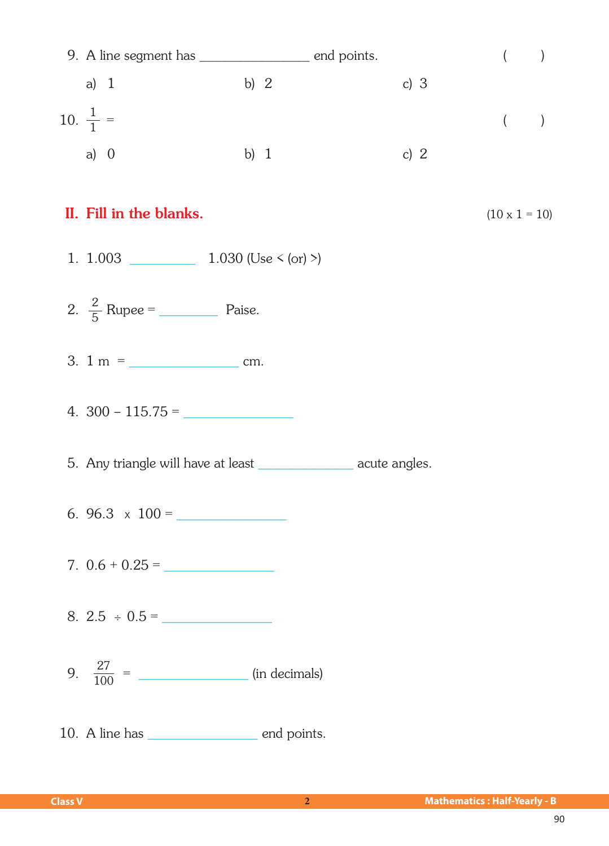| 9. A line segment has _______________________ end points.             |        |        | $\overline{(\ }$<br>$\left( \right)$ |
|-----------------------------------------------------------------------|--------|--------|--------------------------------------|
| a) $1$                                                                | b) $2$ | c) $3$ |                                      |
| 10. $\frac{1}{1}$ =                                                   |        |        | $\overline{(\ }$<br>$\left( \right)$ |
| a) 0                                                                  | b) $1$ | c) $2$ |                                      |
| II. Fill in the blanks.                                               |        |        | $(10 \times 1 = 10)$                 |
| 1. 1.003 1.030 (Use < (or) >)                                         |        |        |                                      |
|                                                                       |        |        |                                      |
|                                                                       |        |        |                                      |
| 4. $300 - 115.75 =$                                                   |        |        |                                      |
| 5. Any triangle will have at least ____________________ acute angles. |        |        |                                      |
| 6. 96.3 $\times$ 100 =                                                |        |        |                                      |
|                                                                       |        |        |                                      |
| 8. $2.5 \div 0.5 =$                                                   |        |        |                                      |
|                                                                       |        |        |                                      |
|                                                                       |        |        |                                      |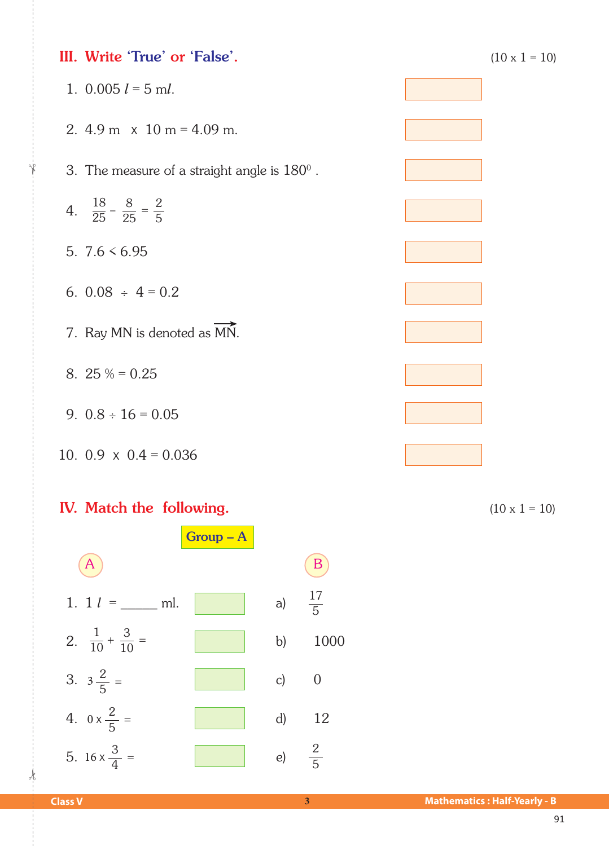| 2. 4.9 m $\times$ 10 m = 4.09 m.                      |             |                   |  |                      |
|-------------------------------------------------------|-------------|-------------------|--|----------------------|
| 3. The measure of a straight angle is $180^{\circ}$ . |             |                   |  |                      |
| 4. $\frac{18}{25} - \frac{8}{25} = \frac{2}{5}$       |             |                   |  |                      |
| 5. $7.6 \le 6.95$                                     |             |                   |  |                      |
| 6. $0.08 \div 4 = 0.2$                                |             |                   |  |                      |
| 7. Ray MN is denoted as MN.                           |             |                   |  |                      |
| 8. $25\% = 0.25$                                      |             |                   |  |                      |
| 9. $0.8 \div 16 = 0.05$                               |             |                   |  |                      |
| 10. 0.9 $\times$ 0.4 = 0.036                          |             |                   |  |                      |
| <b>IV.</b> Match the following.                       | $Group - A$ |                   |  | $(10 \times 1 = 10)$ |
| (A)                                                   |             | $\vert B \rangle$ |  |                      |
| 1. 1 $l =$ _______ ml.                                |             | a) $\frac{17}{5}$ |  |                      |
| 2. $\frac{1}{10} + \frac{3}{10} =$                    |             | b) 1000           |  |                      |
| 3. $3\frac{2}{5}$ =                                   |             | c) $0$            |  |                      |
| 4. $0 \times \frac{2}{5} =$                           |             | $d)$ 12           |  |                      |
| 5. $16 \times \frac{3}{4}$ =                          |             | e) $\frac{2}{5}$  |  |                      |
|                                                       |             |                   |  |                      |

III. Write 'True' or 'False'.  $(10 \times 1 = 10)$ 

1.  $0.005 l = 5$  ml.

✁



 $\frac{1}{2}$